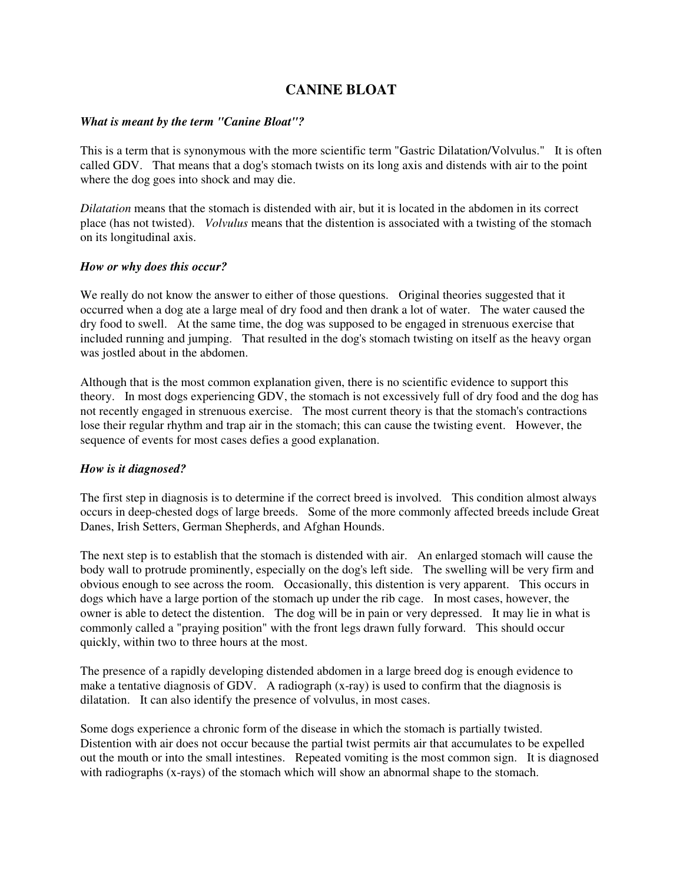# **CANINE BLOAT**

#### *What is meant by the term "Canine Bloat"?*

This is a term that is synonymous with the more scientific term "Gastric Dilatation/Volvulus." It is often called GDV. That means that a dog's stomach twists on its long axis and distends with air to the point where the dog goes into shock and may die.

*Dilatation* means that the stomach is distended with air, but it is located in the abdomen in its correct place (has not twisted). *Volvulus* means that the distention is associated with a twisting of the stomach on its longitudinal axis.

#### *How or why does this occur?*

We really do not know the answer to either of those questions. Original theories suggested that it occurred when a dog ate a large meal of dry food and then drank a lot of water. The water caused the dry food to swell. At the same time, the dog was supposed to be engaged in strenuous exercise that included running and jumping. That resulted in the dog's stomach twisting on itself as the heavy organ was jostled about in the abdomen.

Although that is the most common explanation given, there is no scientific evidence to support this theory. In most dogs experiencing GDV, the stomach is not excessively full of dry food and the dog has not recently engaged in strenuous exercise. The most current theory is that the stomach's contractions lose their regular rhythm and trap air in the stomach; this can cause the twisting event. However, the sequence of events for most cases defies a good explanation.

### *How is it diagnosed?*

The first step in diagnosis is to determine if the correct breed is involved. This condition almost always occurs in deep-chested dogs of large breeds. Some of the more commonly affected breeds include Great Danes, Irish Setters, German Shepherds, and Afghan Hounds.

The next step is to establish that the stomach is distended with air. An enlarged stomach will cause the body wall to protrude prominently, especially on the dog's left side. The swelling will be very firm and obvious enough to see across the room. Occasionally, this distention is very apparent. This occurs in dogs which have a large portion of the stomach up under the rib cage. In most cases, however, the owner is able to detect the distention. The dog will be in pain or very depressed. It may lie in what is commonly called a "praying position" with the front legs drawn fully forward. This should occur quickly, within two to three hours at the most.

The presence of a rapidly developing distended abdomen in a large breed dog is enough evidence to make a tentative diagnosis of GDV. A radiograph  $(x-ray)$  is used to confirm that the diagnosis is dilatation. It can also identify the presence of volvulus, in most cases.

Some dogs experience a chronic form of the disease in which the stomach is partially twisted. Distention with air does not occur because the partial twist permits air that accumulates to be expelled out the mouth or into the small intestines. Repeated vomiting is the most common sign. It is diagnosed with radiographs (x-rays) of the stomach which will show an abnormal shape to the stomach.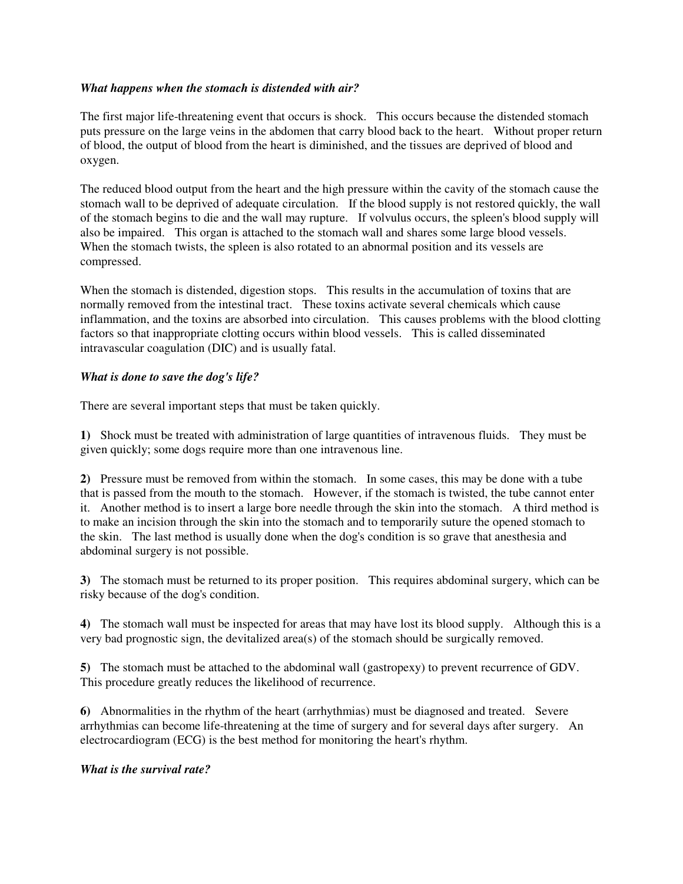## *What happens when the stomach is distended with air?*

The first major life-threatening event that occurs is shock. This occurs because the distended stomach puts pressure on the large veins in the abdomen that carry blood back to the heart. Without proper return of blood, the output of blood from the heart is diminished, and the tissues are deprived of blood and oxygen.

The reduced blood output from the heart and the high pressure within the cavity of the stomach cause the stomach wall to be deprived of adequate circulation. If the blood supply is not restored quickly, the wall of the stomach begins to die and the wall may rupture. If volvulus occurs, the spleen's blood supply will also be impaired. This organ is attached to the stomach wall and shares some large blood vessels. When the stomach twists, the spleen is also rotated to an abnormal position and its vessels are compressed.

When the stomach is distended, digestion stops. This results in the accumulation of toxins that are normally removed from the intestinal tract. These toxins activate several chemicals which cause inflammation, and the toxins are absorbed into circulation. This causes problems with the blood clotting factors so that inappropriate clotting occurs within blood vessels. This is called disseminated intravascular coagulation (DIC) and is usually fatal.

## *What is done to save the dog's life?*

There are several important steps that must be taken quickly.

**1)** Shock must be treated with administration of large quantities of intravenous fluids. They must be given quickly; some dogs require more than one intravenous line.

**2)** Pressure must be removed from within the stomach. In some cases, this may be done with a tube that is passed from the mouth to the stomach. However, if the stomach is twisted, the tube cannot enter it. Another method is to insert a large bore needle through the skin into the stomach. A third method is to make an incision through the skin into the stomach and to temporarily suture the opened stomach to the skin. The last method is usually done when the dog's condition is so grave that anesthesia and abdominal surgery is not possible.

**3)** The stomach must be returned to its proper position. This requires abdominal surgery, which can be risky because of the dog's condition.

**4)** The stomach wall must be inspected for areas that may have lost its blood supply. Although this is a very bad prognostic sign, the devitalized area(s) of the stomach should be surgically removed.

**5)** The stomach must be attached to the abdominal wall (gastropexy) to prevent recurrence of GDV. This procedure greatly reduces the likelihood of recurrence.

**6)** Abnormalities in the rhythm of the heart (arrhythmias) must be diagnosed and treated. Severe arrhythmias can become life-threatening at the time of surgery and for several days after surgery. An electrocardiogram (ECG) is the best method for monitoring the heart's rhythm.

### *What is the survival rate?*